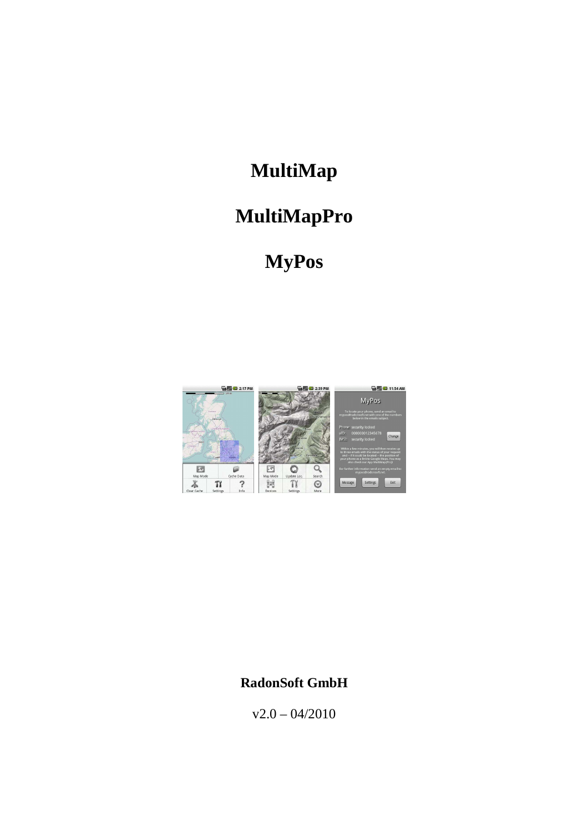# **MultiMap**

# **MultiMapPro**

# **MyPos**



### **RadonSoft GmbH**

 $v2.0 - 04/2010$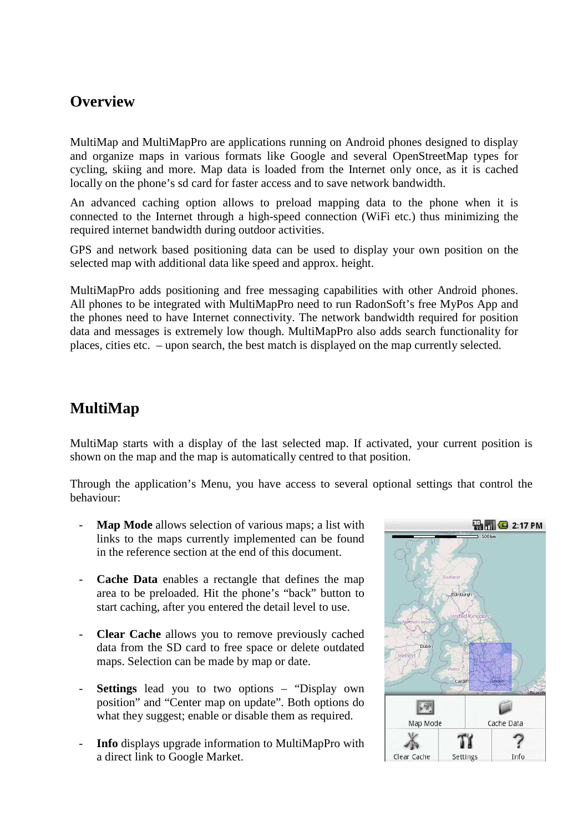#### **Overview**

MultiMap and MultiMapPro are applications running on Android phones designed to display and organize maps in various formats like Google and several OpenStreetMap types for cycling, skiing and more. Map data is loaded from the Internet only once, as it is cached locally on the phone's sd card for faster access and to save network bandwidth.

An advanced caching option allows to preload mapping data to the phone when it is connected to the Internet through a high-speed connection (WiFi etc.) thus minimizing the required internet bandwidth during outdoor activities.

GPS and network based positioning data can be used to display your own position on the selected map with additional data like speed and approx. height.

MultiMapPro adds positioning and free messaging capabilities with other Android phones. All phones to be integrated with MultiMapPro need to run RadonSoft's free MyPos App and the phones need to have Internet connectivity. The network bandwidth required for position data and messages is extremely low though. MultiMapPro also adds search functionality for places, cities etc. – upon search, the best match is displayed on the map currently selected.

#### **MultiMap**

MultiMap starts with a display of the last selected map. If activated, your current position is shown on the map and the map is automatically centred to that position.

Through the application's Menu, you have access to several optional settings that control the behaviour:

- **Map Mode** allows selection of various maps; a list with links to the maps currently implemented can be found in the reference section at the end of this document.
- **Cache Data** enables a rectangle that defines the map area to be preloaded. Hit the phone's "back" button to start caching, after you entered the detail level to use.
- **Clear Cache** allows you to remove previously cached data from the SD card to free space or delete outdated maps. Selection can be made by map or date.
- Settings lead you to two options "Display own position" and "Center map on update". Both options do what they suggest; enable or disable them as required.
- **Info** displays upgrade information to MultiMapPro with a direct link to Google Market.

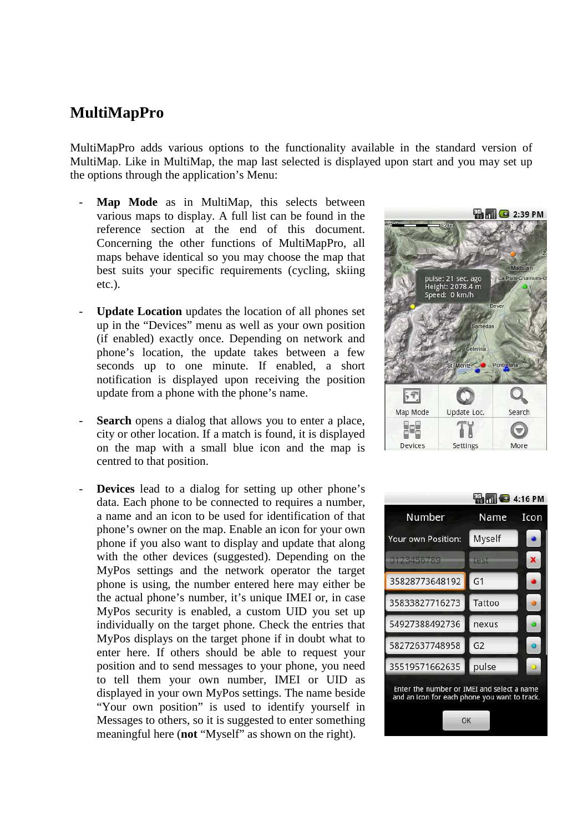#### **MultiMapPro**

MultiMapPro adds various options to the functionality available in the standard version of MultiMap. Like in MultiMap, the map last selected is displayed upon start and you may set up the options through the application's Menu:

- Map Mode as in MultiMap, this selects between various maps to display. A full list can be found in the reference section at the end of this document. Concerning the other functions of MultiMapPro, all maps behave identical so you may choose the map that best suits your specific requirements (cycling, skiing etc.).
- Update Location updates the location of all phones set up in the "Devices" menu as well as your own position (if enabled) exactly once. Depending on network and phone's location, the update takes between a few seconds up to one minute. If enabled, a short notification is displayed upon receiving the position update from a phone with the phone's name.
- **Search** opens a dialog that allows you to enter a place, city or other location. If a match is found, it is displayed on the map with a small blue icon and the map is centred to that position.
- **Devices** lead to a dialog for setting up other phone's data. Each phone to be connected to requires a number, a name and an icon to be used for identification of that phone's owner on the map. Enable an icon for your own phone if you also want to display and update that along with the other devices (suggested). Depending on the MyPos settings and the network operator the target phone is using, the number entered here may either be the actual phone's number, it's unique IMEI or, in case MyPos security is enabled, a custom UID you set up individually on the target phone. Check the entries that MyPos displays on the target phone if in doubt what to enter here. If others should be able to request your position and to send messages to your phone, you need to tell them your own number, IMEI or UID as displayed in your own MyPos settings. The name beside "Your own position" is used to identify yourself in Messages to others, so it is suggested to enter something meaningful here (**not** "Myself" as shown on the right).



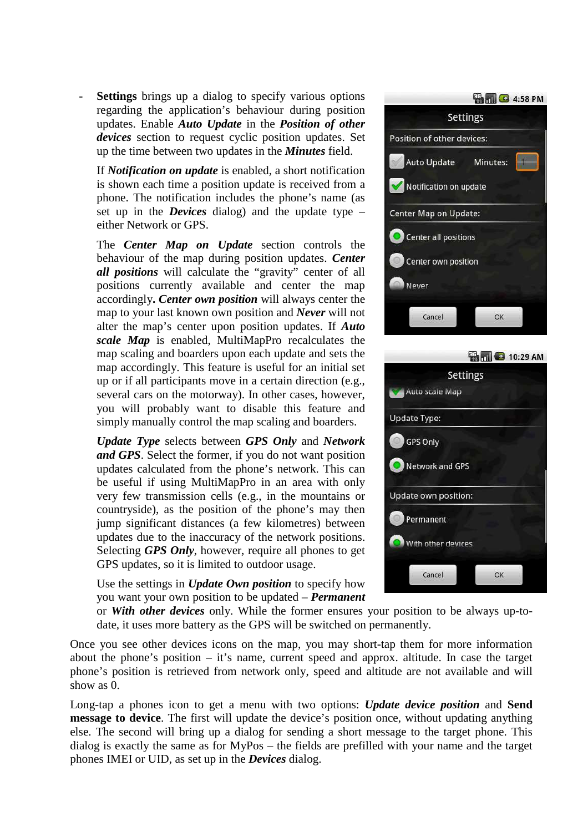**Settings** brings up a dialog to specify various options regarding the application's behaviour during position updates. Enable *Auto Update* in the *Position of other devices* section to request cyclic position updates. Set up the time between two updates in the *Minutes* field.

If *Notification on update* is enabled, a short notification is shown each time a position update is received from a phone. The notification includes the phone's name (as set up in the *Devices* dialog) and the update type – either Network or GPS.

The *Center Map on Update* section controls the behaviour of the map during position updates. *Center all positions* will calculate the "gravity" center of all positions currently available and center the map accordingly**.** *Center own position* will always center the map to your last known own position and *Never* will not alter the map's center upon position updates. If *Auto scale Map* is enabled, MultiMapPro recalculates the map scaling and boarders upon each update and sets the map accordingly. This feature is useful for an initial set up or if all participants move in a certain direction (e.g., several cars on the motorway). In other cases, however, you will probably want to disable this feature and simply manually control the map scaling and boarders.

*Update Type* selects between *GPS Only* and *Network and GPS*. Select the former, if you do not want position updates calculated from the phone's network. This can be useful if using MultiMapPro in an area with only very few transmission cells (e.g., in the mountains or countryside), as the position of the phone's may then jump significant distances (a few kilometres) between updates due to the inaccuracy of the network positions. Selecting *GPS Only*, however, require all phones to get GPS updates, so it is limited to outdoor usage.

Use the settings in *Update Own position* to specify how you want your own position to be updated – *Permanent*



| <b>EN 10:29 AM</b>   |
|----------------------|
| <b>Settings</b>      |
| Auto scale Map       |
| <b>Update Type:</b>  |
| <b>GPS Only</b>      |
| Network and GPS      |
| Update own position: |
| Permanent            |
| With other devices   |
| Cancel<br>OK         |

or *With other devices* only. While the former ensures your position to be always up-todate, it uses more battery as the GPS will be switched on permanently.

Once you see other devices icons on the map, you may short-tap them for more information about the phone's position – it's name, current speed and approx. altitude. In case the target phone's position is retrieved from network only, speed and altitude are not available and will show as 0.

Long-tap a phones icon to get a menu with two options: *Update device position* and **Send message to device**. The first will update the device's position once, without updating anything else. The second will bring up a dialog for sending a short message to the target phone. This dialog is exactly the same as for MyPos – the fields are prefilled with your name and the target phones IMEI or UID, as set up in the *Devices* dialog.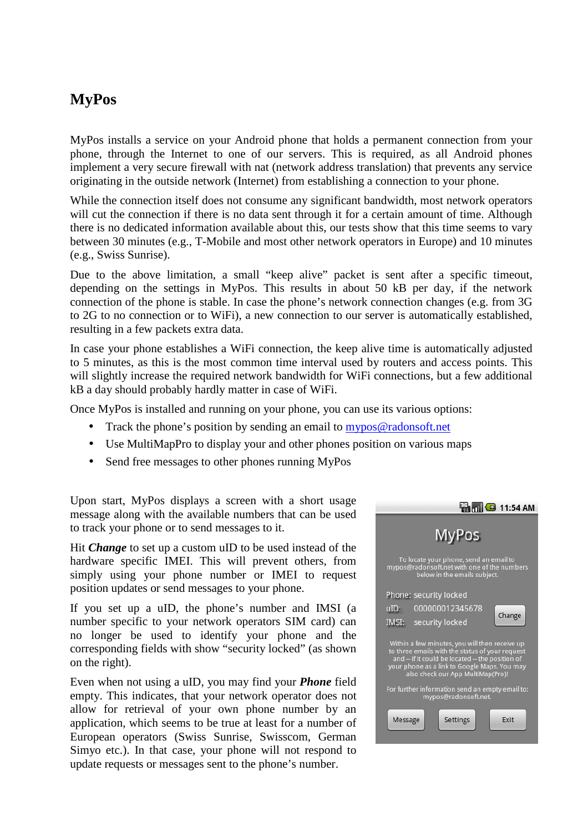### **MyPos**

MyPos installs a service on your Android phone that holds a permanent connection from your phone, through the Internet to one of our servers. This is required, as all Android phones implement a very secure firewall with nat (network address translation) that prevents any service originating in the outside network (Internet) from establishing a connection to your phone.

While the connection itself does not consume any significant bandwidth, most network operators will cut the connection if there is no data sent through it for a certain amount of time. Although there is no dedicated information available about this, our tests show that this time seems to vary between 30 minutes (e.g., T-Mobile and most other network operators in Europe) and 10 minutes (e.g., Swiss Sunrise).

Due to the above limitation, a small "keep alive" packet is sent after a specific timeout, depending on the settings in MyPos. This results in about 50 kB per day, if the network connection of the phone is stable. In case the phone's network connection changes (e.g. from 3G to 2G to no connection or to WiFi), a new connection to our server is automatically established, resulting in a few packets extra data.

In case your phone establishes a WiFi connection, the keep alive time is automatically adjusted to 5 minutes, as this is the most common time interval used by routers and access points. This will slightly increase the required network bandwidth for WiFi connections, but a few additional kB a day should probably hardly matter in case of WiFi.

Once MyPos is installed and running on your phone, you can use its various options:

- Track the phone's position by sending an email to mypos@radonsoft.net
- Use MultiMapPro to display your and other phones position on various maps
- Send free messages to other phones running MyPos

Upon start, MyPos displays a screen with a short usage message along with the available numbers that can be used to track your phone or to send messages to it.

Hit *Change* to set up a custom uID to be used instead of the hardware specific IMEI. This will prevent others, from simply using your phone number or IMEI to request position updates or send messages to your phone.

If you set up a uID, the phone's number and IMSI (a number specific to your network operators SIM card) can no longer be used to identify your phone and the corresponding fields with show "security locked" (as shown on the right).

Even when not using a uID, you may find your *Phone* field empty. This indicates, that your network operator does not allow for retrieval of your own phone number by an application, which seems to be true at least for a number of European operators (Swiss Sunrise, Swisscom, German Simyo etc.). In that case, your phone will not respond to update requests or messages sent to the phone's number.

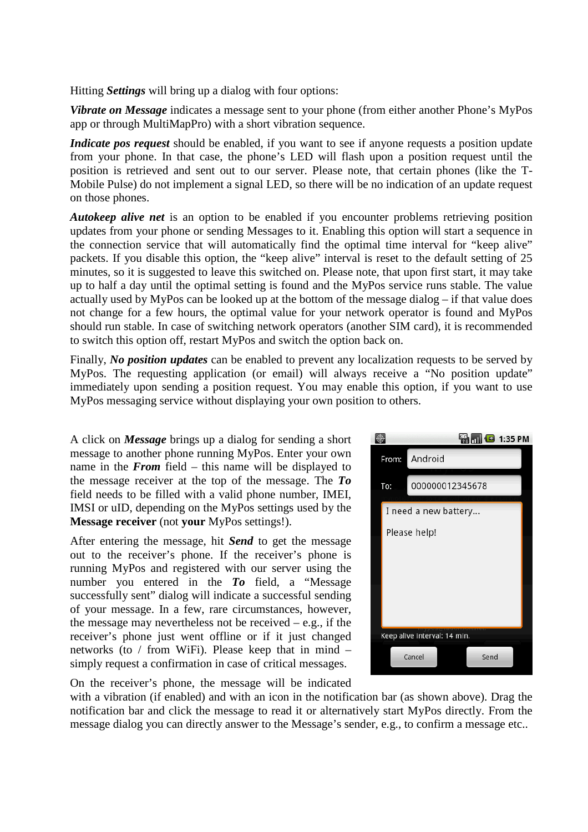Hitting *Settings* will bring up a dialog with four options:

*Vibrate on Message* indicates a message sent to your phone (from either another Phone's MyPos app or through MultiMapPro) with a short vibration sequence.

*Indicate pos request* should be enabled, if you want to see if anyone requests a position update from your phone. In that case, the phone's LED will flash upon a position request until the position is retrieved and sent out to our server. Please note, that certain phones (like the T-Mobile Pulse) do not implement a signal LED, so there will be no indication of an update request on those phones.

*Autokeep alive net* is an option to be enabled if you encounter problems retrieving position updates from your phone or sending Messages to it. Enabling this option will start a sequence in the connection service that will automatically find the optimal time interval for "keep alive" packets. If you disable this option, the "keep alive" interval is reset to the default setting of 25 minutes, so it is suggested to leave this switched on. Please note, that upon first start, it may take up to half a day until the optimal setting is found and the MyPos service runs stable. The value actually used by MyPos can be looked up at the bottom of the message dialog – if that value does not change for a few hours, the optimal value for your network operator is found and MyPos should run stable. In case of switching network operators (another SIM card), it is recommended to switch this option off, restart MyPos and switch the option back on.

Finally, *No position updates* can be enabled to prevent any localization requests to be served by MyPos. The requesting application (or email) will always receive a "No position update" immediately upon sending a position request. You may enable this option, if you want to use MyPos messaging service without displaying your own position to others.

A click on *Message* brings up a dialog for sending a short message to another phone running MyPos. Enter your own name in the *From* field – this name will be displayed to the message receiver at the top of the message. The *To* field needs to be filled with a valid phone number, IMEI, IMSI or uID, depending on the MyPos settings used by the **Message receiver** (not **your** MyPos settings!).

After entering the message, hit *Send* to get the message out to the receiver's phone. If the receiver's phone is running MyPos and registered with our server using the number you entered in the *To* field, a "Message successfully sent" dialog will indicate a successful sending of your message. In a few, rare circumstances, however, the message may nevertheless not be received  $-$  e.g., if the receiver's phone just went offline or if it just changed networks (to / from WiFi). Please keep that in mind – simply request a confirmation in case of critical messages.



On the receiver's phone, the message will be indicated

with a vibration (if enabled) and with an icon in the notification bar (as shown above). Drag the notification bar and click the message to read it or alternatively start MyPos directly. From the message dialog you can directly answer to the Message's sender, e.g., to confirm a message etc..